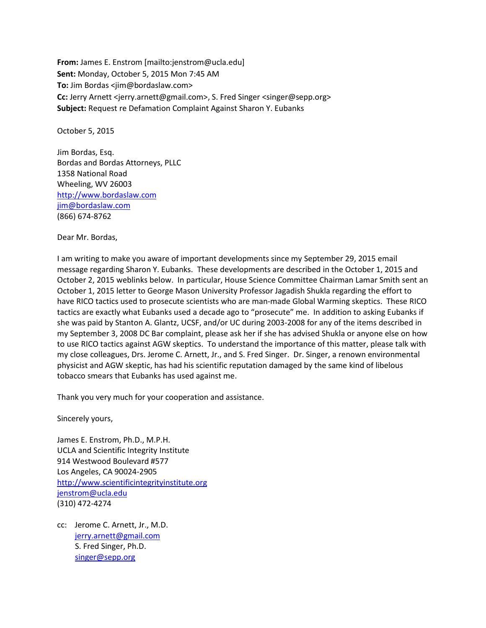**From:** James E. Enstrom [mailto:jenstrom@ucla.edu] **Sent:** Monday, October 5, 2015 Mon 7:45 AM **To:** Jim Bordas <jim@bordaslaw.com> **Cc:** Jerry Arnett <jerry.arnett@gmail.com>, S. Fred Singer <singer@sepp.org> **Subject:** Request re Defamation Complaint Against Sharon Y. Eubanks

October 5, 2015

Jim Bordas, Esq. Bordas and Bordas Attorneys, PLLC 1358 National Road Wheeling, WV 26003 [http://www.bordaslaw.com](http://www.bordaslaw.com/) [jim@bordaslaw.com](mailto:jim@bordaslaw.com) (866) 674-8762

Dear Mr. Bordas,

I am writing to make you aware of important developments since my September 29, 2015 email message regarding Sharon Y. Eubanks. These developments are described in the October 1, 2015 and October 2, 2015 weblinks below. In particular, House Science Committee Chairman Lamar Smith sent an October 1, 2015 letter to George Mason University Professor Jagadish Shukla regarding the effort to have RICO tactics used to prosecute scientists who are man-made Global Warming skeptics. These RICO tactics are exactly what Eubanks used a decade ago to "prosecute" me. In addition to asking Eubanks if she was paid by Stanton A. Glantz, UCSF, and/or UC during 2003-2008 for any of the items described in my September 3, 2008 DC Bar complaint, please ask her if she has advised Shukla or anyone else on how to use RICO tactics against AGW skeptics. To understand the importance of this matter, please talk with my close colleagues, Drs. Jerome C. Arnett, Jr., and S. Fred Singer. Dr. Singer, a renown environmental physicist and AGW skeptic, has had his scientific reputation damaged by the same kind of libelous tobacco smears that Eubanks has used against me.

Thank you very much for your cooperation and assistance.

Sincerely yours,

James E. Enstrom, Ph.D., M.P.H. UCLA and Scientific Integrity Institute 914 Westwood Boulevard #577 Los Angeles, CA 90024-2905 [http://www.scientificintegrityinstitute.org](http://www.scientificintegrityinstitute.org/) [jenstrom@ucla.edu](mailto:jenstrom@ucla.edu) (310) 472-4274

cc: Jerome C. Arnett, Jr., M.D. [jerry.arnett@gmail.com](mailto:jerry.arnett@gmail.com) S. Fred Singer, Ph.D. [singer@sepp.org](mailto:singer@sepp.org)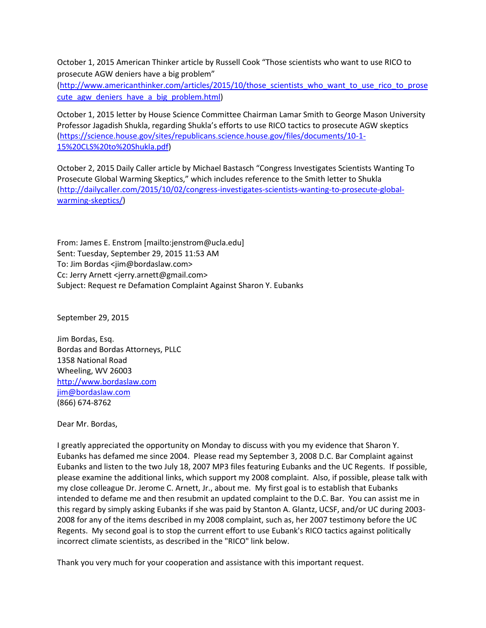October 1, 2015 American Thinker article by Russell Cook "Those scientists who want to use RICO to prosecute AGW deniers have a big problem"

[\(http://www.americanthinker.com/articles/2015/10/those\\_scientists\\_who\\_want\\_to\\_use\\_rico\\_to\\_prose](http://www.americanthinker.com/articles/2015/10/those_scientists_who_want_to_use_rico_to_prosecute_agw_deniers_have_a_big_problem.html) [cute\\_agw\\_deniers\\_have\\_a\\_big\\_problem.html\)](http://www.americanthinker.com/articles/2015/10/those_scientists_who_want_to_use_rico_to_prosecute_agw_deniers_have_a_big_problem.html)

October 1, 2015 letter by House Science Committee Chairman Lamar Smith to George Mason University Professor Jagadish Shukla, regarding Shukla's efforts to use RICO tactics to prosecute AGW skeptics [\(https://science.house.gov/sites/republicans.science.house.gov/files/documents/10-1-](https://science.house.gov/sites/republicans.science.house.gov/files/documents/10-1-15%20CLS%20to%20Shukla.pdf) [15%20CLS%20to%20Shukla.pdf\)](https://science.house.gov/sites/republicans.science.house.gov/files/documents/10-1-15%20CLS%20to%20Shukla.pdf)

October 2, 2015 Daily Caller article by Michael Bastasch "Congress Investigates Scientists Wanting To Prosecute Global Warming Skeptics," which includes reference to the Smith letter to Shukla [\(http://dailycaller.com/2015/10/02/congress-investigates-scientists-wanting-to-prosecute-global](http://dailycaller.com/2015/10/02/congress-investigates-scientists-wanting-to-prosecute-global-warming-skeptics/)[warming-skeptics/\)](http://dailycaller.com/2015/10/02/congress-investigates-scientists-wanting-to-prosecute-global-warming-skeptics/)

From: James E. Enstrom [mailto:jenstrom@ucla.edu] Sent: Tuesday, September 29, 2015 11:53 AM To: Jim Bordas <jim@bordaslaw.com> Cc: Jerry Arnett <jerry.arnett@gmail.com> Subject: Request re Defamation Complaint Against Sharon Y. Eubanks

September 29, 2015

Jim Bordas, Esq. Bordas and Bordas Attorneys, PLLC 1358 National Road Wheeling, WV 26003 [http://www.bordaslaw.com](http://www.bordaslaw.com/) [jim@bordaslaw.com](mailto:jim@bordaslaw.com) (866) 674-8762

Dear Mr. Bordas,

I greatly appreciated the opportunity on Monday to discuss with you my evidence that Sharon Y. Eubanks has defamed me since 2004. Please read my September 3, 2008 D.C. Bar Complaint against Eubanks and listen to the two July 18, 2007 MP3 files featuring Eubanks and the UC Regents. If possible, please examine the additional links, which support my 2008 complaint. Also, if possible, please talk with my close colleague Dr. Jerome C. Arnett, Jr., about me. My first goal is to establish that Eubanks intended to defame me and then resubmit an updated complaint to the D.C. Bar. You can assist me in this regard by simply asking Eubanks if she was paid by Stanton A. Glantz, UCSF, and/or UC during 2003- 2008 for any of the items described in my 2008 complaint, such as, her 2007 testimony before the UC Regents. My second goal is to stop the current effort to use Eubank's RICO tactics against politically incorrect climate scientists, as described in the "RICO" link below.

Thank you very much for your cooperation and assistance with this important request.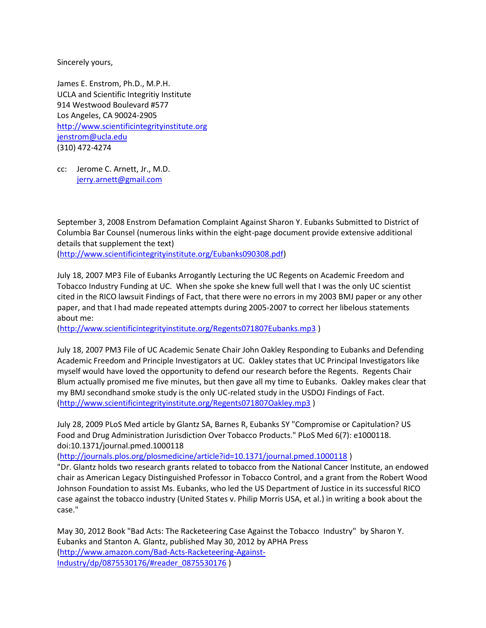Sincerely yours,

James E. Enstrom, Ph.D., M.P.H. UCLA and Scientific Integritiy Institute 914 Westwood Boulevard #577 Los Angeles, CA 90024-2905 [http://www.scientificintegrityinstitute.org](http://www.scientificintegrityinstitute.org/) [jenstrom@ucla.edu](mailto:jenstrom@ucla.edu) (310) 472-4274

cc: Jerome C. Arnett, Jr., M.D. [jerry.arnett@gmail.com](mailto:jerry.arnett@gmail.com)

September 3, 2008 Enstrom Defamation Complaint Against Sharon Y. Eubanks Submitted to District of Columbia Bar Counsel (numerous links within the eight-page document provide extensive additional details that supplement the text)

[\(http://www.scientificintegrityinstitute.org/Eubanks090308.pdf\)](http://www.scientificintegrityinstitute.org/Eubanks090308.pdf)

July 18, 2007 MP3 File of Eubanks Arrogantly Lecturing the UC Regents on Academic Freedom and Tobacco Industry Funding at UC. When she spoke she knew full well that I was the only UC scientist cited in the RICO lawsuit Findings of Fact, that there were no errors in my 2003 BMJ paper or any other paper, and that I had made repeated attempts during 2005-2007 to correct her libelous statements about me:

[\(http://www.scientificintegrityinstitute.org/Regents071807Eubanks.mp3](http://www.scientificintegrityinstitute.org/Regents071807Eubanks.mp3) )

July 18, 2007 PM3 File of UC Academic Senate Chair John Oakley Responding to Eubanks and Defending Academic Freedom and Principle Investigators at UC. Oakley states that UC Principal Investigators like myself would have loved the opportunity to defend our research before the Regents. Regents Chair Blum actually promised me five minutes, but then gave all my time to Eubanks. Oakley makes clear that my BMJ secondhand smoke study is the only UC-related study in the USDOJ Findings of Fact. [\(http://www.scientificintegrityinstitute.org/Regents071807Oakley.mp3](http://www.scientificintegrityinstitute.org/Regents071807Oakley.mp3) )

July 28, 2009 PLoS Med article by Glantz SA, Barnes R, Eubanks SY "Compromise or Capitulation? US Food and Drug Administration Jurisdiction Over Tobacco Products." PLoS Med 6(7): e1000118. doi:10.1371/journal.pmed.1000118

[\(http://journals.plos.org/plosmedicine/article?id=10.1371/journal.pmed.1000118](http://journals.plos.org/plosmedicine/article?id=10.1371/journal.pmed.1000118) )

"Dr. Glantz holds two research grants related to tobacco from the National Cancer Institute, an endowed chair as American Legacy Distinguished Professor in Tobacco Control, and a grant from the Robert Wood Johnson Foundation to assist Ms. Eubanks, who led the US Department of Justice in its successful RICO case against the tobacco industry (United States v. Philip Morris USA, et al.) in writing a book about the case."

May 30, 2012 Book "Bad Acts: The Racketeering Case Against the Tobacco Industry" by Sharon Y. Eubanks and Stanton A. Glantz, published May 30, 2012 by APHA Press [\(http://www.amazon.com/Bad-Acts-Racketeering-Against-](http://www.amazon.com/Bad-Acts-Racketeering-Against-Industry/dp/0875530176/#reader_0875530176)[Industry/dp/0875530176/#reader\\_0875530176](http://www.amazon.com/Bad-Acts-Racketeering-Against-Industry/dp/0875530176/#reader_0875530176) )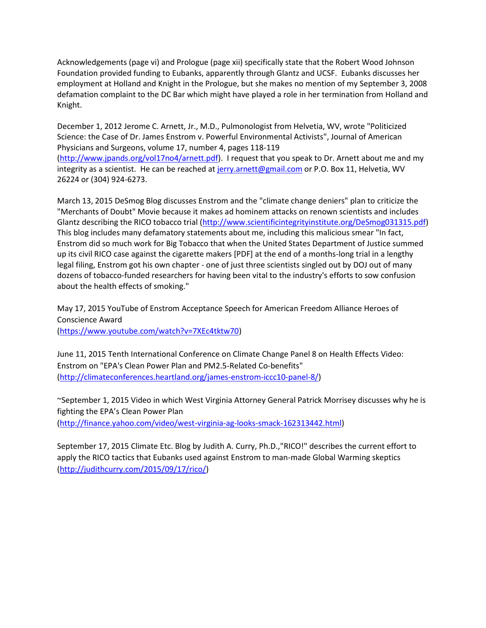Acknowledgements (page vi) and Prologue (page xii) specifically state that the Robert Wood Johnson Foundation provided funding to Eubanks, apparently through Glantz and UCSF. Eubanks discusses her employment at Holland and Knight in the Prologue, but she makes no mention of my September 3, 2008 defamation complaint to the DC Bar which might have played a role in her termination from Holland and Knight.

December 1, 2012 Jerome C. Arnett, Jr., M.D., Pulmonologist from Helvetia, WV, wrote "Politicized Science: the Case of Dr. James Enstrom v. Powerful Environmental Activists", Journal of American Physicians and Surgeons, volume 17, number 4, pages 118-119 [\(http://www.jpands.org/vol17no4/arnett.pdf\)](http://www.jpands.org/vol17no4/arnett.pdf). I request that you speak to Dr. Arnett about me and my integrity as a scientist. He can be reached a[t jerry.arnett@gmail.com](mailto:jerry.arnett@gmail.com) or P.O. Box 11, Helvetia, WV 26224 or (304) 924-6273.

March 13, 2015 DeSmog Blog discusses Enstrom and the "climate change deniers" plan to criticize the "Merchants of Doubt" Movie because it makes ad hominem attacks on renown scientists and includes Glantz describing the RICO tobacco trial [\(http://www.scientificintegrityinstitute.org/DeSmog031315.pdf\)](http://www.scientificintegrityinstitute.org/DeSmog031315.pdf) This blog includes many defamatory statements about me, including this malicious smear "In fact, Enstrom did so much work for Big Tobacco that when the United States Department of Justice summed up its civil RICO case against the cigarette makers [PDF] at the end of a months-long trial in a lengthy legal filing, Enstrom got his own chapter - one of just three scientists singled out by DOJ out of many dozens of tobacco-funded researchers for having been vital to the industry's efforts to sow confusion about the health effects of smoking."

May 17, 2015 YouTube of Enstrom Acceptance Speech for American Freedom Alliance Heroes of Conscience Award

[\(https://www.youtube.com/watch?v=7XEc4tktw70\)](https://www.youtube.com/watch?v=7XEc4tktw70)

June 11, 2015 Tenth International Conference on Climate Change Panel 8 on Health Effects Video: Enstrom on "EPA's Clean Power Plan and PM2.5-Related Co-benefits" [\(http://climateconferences.heartland.org/james-enstrom-iccc10-panel-8/\)](http://climateconferences.heartland.org/james-enstrom-iccc10-panel-8/)

~September 1, 2015 Video in which West Virginia Attorney General Patrick Morrisey discusses why he is fighting the EPA's Clean Power Plan [\(http://finance.yahoo.com/video/west-virginia-ag-looks-smack-162313442.html\)](http://finance.yahoo.com/video/west-virginia-ag-looks-smack-162313442.html)

September 17, 2015 Climate Etc. Blog by Judith A. Curry, Ph.D.,"RICO!" describes the current effort to apply the RICO tactics that Eubanks used against Enstrom to man-made Global Warming skeptics [\(http://judithcurry.com/2015/09/17/rico/\)](http://judithcurry.com/2015/09/17/rico/)